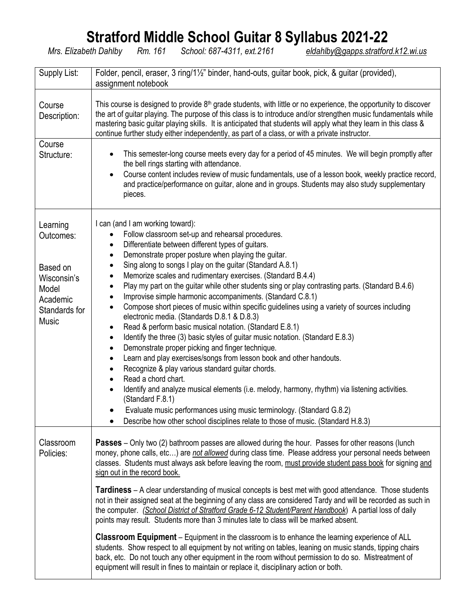## **Stratford Middle School Guitar 8 Syllabus 2021-22**

*Mrs. Elizabeth Dahlby Rm. 161 School: 687-4311, ext.2161 [eldahlby@gapps.stratford.k12.wi.us](mailto:eldahlby@gapps.stratford.k12.wi.us)*

| Supply List:                                                                                    | Folder, pencil, eraser, 3 ring/1½" binder, hand-outs, guitar book, pick, & guitar (provided),                                                                                                                                                                                                                                                                                                                                                                                                                                                                                                                                                                                                                                                                                                                                                                                                                                                                                                                                                                                                                                                                                                                                                                                                                                                                                                                                                                               |  |  |  |  |  |  |
|-------------------------------------------------------------------------------------------------|-----------------------------------------------------------------------------------------------------------------------------------------------------------------------------------------------------------------------------------------------------------------------------------------------------------------------------------------------------------------------------------------------------------------------------------------------------------------------------------------------------------------------------------------------------------------------------------------------------------------------------------------------------------------------------------------------------------------------------------------------------------------------------------------------------------------------------------------------------------------------------------------------------------------------------------------------------------------------------------------------------------------------------------------------------------------------------------------------------------------------------------------------------------------------------------------------------------------------------------------------------------------------------------------------------------------------------------------------------------------------------------------------------------------------------------------------------------------------------|--|--|--|--|--|--|
|                                                                                                 | assignment notebook                                                                                                                                                                                                                                                                                                                                                                                                                                                                                                                                                                                                                                                                                                                                                                                                                                                                                                                                                                                                                                                                                                                                                                                                                                                                                                                                                                                                                                                         |  |  |  |  |  |  |
| Course<br>Description:                                                                          | This course is designed to provide 8 <sup>th</sup> grade students, with little or no experience, the opportunity to discover<br>the art of guitar playing. The purpose of this class is to introduce and/or strengthen music fundamentals while<br>mastering basic guitar playing skills. It is anticipated that students will apply what they learn in this class &<br>continue further study either independently, as part of a class, or with a private instructor.                                                                                                                                                                                                                                                                                                                                                                                                                                                                                                                                                                                                                                                                                                                                                                                                                                                                                                                                                                                                      |  |  |  |  |  |  |
| Course<br>Structure:                                                                            | This semester-long course meets every day for a period of 45 minutes. We will begin promptly after<br>the bell rings starting with attendance.<br>Course content includes review of music fundamentals, use of a lesson book, weekly practice record,<br>$\bullet$<br>and practice/performance on guitar, alone and in groups. Students may also study supplementary<br>pieces.                                                                                                                                                                                                                                                                                                                                                                                                                                                                                                                                                                                                                                                                                                                                                                                                                                                                                                                                                                                                                                                                                             |  |  |  |  |  |  |
| Learning<br>Outcomes:<br>Based on<br>Wisconsin's<br>Model<br>Academic<br>Standards for<br>Music | I can (and I am working toward):<br>Follow classroom set-up and rehearsal procedures.<br>$\bullet$<br>Differentiate between different types of guitars.<br>$\bullet$<br>Demonstrate proper posture when playing the guitar.<br>$\bullet$<br>Sing along to songs I play on the guitar (Standard A.8.1)<br>$\bullet$<br>Memorize scales and rudimentary exercises. (Standard B.4.4)<br>$\bullet$<br>Play my part on the guitar while other students sing or play contrasting parts. (Standard B.4.6)<br>$\bullet$<br>Improvise simple harmonic accompaniments. (Standard C.8.1)<br>$\bullet$<br>Compose short pieces of music within specific guidelines using a variety of sources including<br>$\bullet$<br>electronic media. (Standards D.8.1 & D.8.3)<br>Read & perform basic musical notation. (Standard E.8.1)<br>$\bullet$<br>Identify the three (3) basic styles of guitar music notation. (Standard E.8.3)<br>$\bullet$<br>Demonstrate proper picking and finger technique.<br>$\bullet$<br>Learn and play exercises/songs from lesson book and other handouts.<br>$\bullet$<br>Recognize & play various standard guitar chords.<br>$\bullet$<br>Read a chord chart.<br>$\bullet$<br>Identify and analyze musical elements (i.e. melody, harmony, rhythm) via listening activities.<br>(Standard F.8.1)<br>Evaluate music performances using music terminology. (Standard G.8.2)<br>Describe how other school disciplines relate to those of music. (Standard H.8.3) |  |  |  |  |  |  |
| Classroom<br>Policies:                                                                          | <b>Passes</b> – Only two (2) bathroom passes are allowed during the hour. Passes for other reasons (lunch<br>money, phone calls, etc) are not allowed during class time. Please address your personal needs between<br>classes. Students must always ask before leaving the room, must provide student pass book for signing and<br>sign out in the record book.<br><b>Tardiness</b> – A clear understanding of musical concepts is best met with good attendance. Those students<br>not in their assigned seat at the beginning of any class are considered Tardy and will be recorded as such in<br>the computer. (School District of Stratford Grade 6-12 Student/Parent Handbook) A partial loss of daily<br>points may result. Students more than 3 minutes late to class will be marked absent.<br><b>Classroom Equipment</b> – Equipment in the classroom is to enhance the learning experience of ALL<br>students. Show respect to all equipment by not writing on tables, leaning on music stands, tipping chairs<br>back, etc. Do not touch any other equipment in the room without permission to do so. Mistreatment of<br>equipment will result in fines to maintain or replace it, disciplinary action or both.                                                                                                                                                                                                                                                |  |  |  |  |  |  |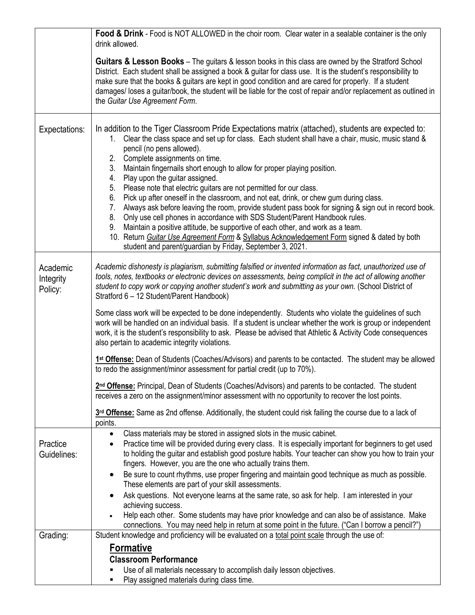|                                  | Food & Drink - Food is NOT ALLOWED in the choir room. Clear water in a sealable container is the only<br>drink allowed.                                                                                                                                                                                                                                                                                                                                                                                                                                                                                                                                                                                                                                                                                                                                                                                                                                                                                                                              |  |  |  |  |  |  |
|----------------------------------|------------------------------------------------------------------------------------------------------------------------------------------------------------------------------------------------------------------------------------------------------------------------------------------------------------------------------------------------------------------------------------------------------------------------------------------------------------------------------------------------------------------------------------------------------------------------------------------------------------------------------------------------------------------------------------------------------------------------------------------------------------------------------------------------------------------------------------------------------------------------------------------------------------------------------------------------------------------------------------------------------------------------------------------------------|--|--|--|--|--|--|
|                                  | <b>Guitars &amp; Lesson Books</b> – The guitars & lesson books in this class are owned by the Stratford School<br>District. Each student shall be assigned a book & guitar for class use. It is the student's responsibility to<br>make sure that the books & guitars are kept in good condition and are cared for properly. If a student<br>damages/loses a guitar/book, the student will be liable for the cost of repair and/or replacement as outlined in<br>the Guitar Use Agreement Form.                                                                                                                                                                                                                                                                                                                                                                                                                                                                                                                                                      |  |  |  |  |  |  |
| Expectations:                    | In addition to the Tiger Classroom Pride Expectations matrix (attached), students are expected to:<br>Clear the class space and set up for class. Each student shall have a chair, music, music stand &<br>$1_{\cdot}$<br>pencil (no pens allowed).<br>2.<br>Complete assignments on time.<br>Maintain fingernails short enough to allow for proper playing position.<br>3.<br>Play upon the guitar assigned.<br>4.<br>Please note that electric guitars are not permitted for our class.<br>5.<br>Pick up after oneself in the classroom, and not eat, drink, or chew gum during class.<br>6.<br>Always ask before leaving the room, provide student pass book for signing & sign out in record book.<br>7.<br>8.<br>Only use cell phones in accordance with SDS Student/Parent Handbook rules.<br>Maintain a positive attitude, be supportive of each other, and work as a team.<br>9.<br>10. Return Guitar Use Agreement Form & Syllabus Acknowledgement Form signed & dated by both<br>student and parent/guardian by Friday, September 3, 2021. |  |  |  |  |  |  |
| Academic<br>Integrity<br>Policy: | Academic dishonesty is plagiarism, submitting falsified or invented information as fact, unauthorized use of<br>tools, notes, textbooks or electronic devices on assessments, being complicit in the act of allowing another<br>student to copy work or copying another student's work and submitting as your own. (School District of<br>Stratford 6 - 12 Student/Parent Handbook)                                                                                                                                                                                                                                                                                                                                                                                                                                                                                                                                                                                                                                                                  |  |  |  |  |  |  |
|                                  | Some class work will be expected to be done independently. Students who violate the guidelines of such<br>work will be handled on an individual basis. If a student is unclear whether the work is group or independent<br>work, it is the student's responsibility to ask. Please be advised that Athletic & Activity Code consequences<br>also pertain to academic integrity violations.                                                                                                                                                                                                                                                                                                                                                                                                                                                                                                                                                                                                                                                           |  |  |  |  |  |  |
|                                  | 1st Offense: Dean of Students (Coaches/Advisors) and parents to be contacted. The student may be allowed<br>to redo the assignment/minor assessment for partial credit (up to 70%).                                                                                                                                                                                                                                                                                                                                                                                                                                                                                                                                                                                                                                                                                                                                                                                                                                                                  |  |  |  |  |  |  |
|                                  | 2nd Offense: Principal, Dean of Students (Coaches/Advisors) and parents to be contacted. The student<br>receives a zero on the assignment/minor assessment with no opportunity to recover the lost points.                                                                                                                                                                                                                                                                                                                                                                                                                                                                                                                                                                                                                                                                                                                                                                                                                                           |  |  |  |  |  |  |
|                                  | 3rd Offense: Same as 2nd offense. Additionally, the student could risk failing the course due to a lack of<br>points.                                                                                                                                                                                                                                                                                                                                                                                                                                                                                                                                                                                                                                                                                                                                                                                                                                                                                                                                |  |  |  |  |  |  |
| Practice<br>Guidelines:          | Class materials may be stored in assigned slots in the music cabinet.<br>٠<br>Practice time will be provided during every class. It is especially important for beginners to get used<br>٠<br>to holding the guitar and establish good posture habits. Your teacher can show you how to train your<br>fingers. However, you are the one who actually trains them.<br>Be sure to count rhythms, use proper fingering and maintain good technique as much as possible.                                                                                                                                                                                                                                                                                                                                                                                                                                                                                                                                                                                 |  |  |  |  |  |  |
|                                  | These elements are part of your skill assessments.<br>Ask questions. Not everyone learns at the same rate, so ask for help. I am interested in your                                                                                                                                                                                                                                                                                                                                                                                                                                                                                                                                                                                                                                                                                                                                                                                                                                                                                                  |  |  |  |  |  |  |
|                                  | achieving success.<br>Help each other. Some students may have prior knowledge and can also be of assistance. Make<br>connections. You may need help in return at some point in the future. ("Can I borrow a pencil?")                                                                                                                                                                                                                                                                                                                                                                                                                                                                                                                                                                                                                                                                                                                                                                                                                                |  |  |  |  |  |  |
| Grading:                         | Student knowledge and proficiency will be evaluated on a total point scale through the use of:                                                                                                                                                                                                                                                                                                                                                                                                                                                                                                                                                                                                                                                                                                                                                                                                                                                                                                                                                       |  |  |  |  |  |  |
|                                  | <b>Formative</b><br><b>Classroom Performance</b>                                                                                                                                                                                                                                                                                                                                                                                                                                                                                                                                                                                                                                                                                                                                                                                                                                                                                                                                                                                                     |  |  |  |  |  |  |
|                                  | Use of all materials necessary to accomplish daily lesson objectives.<br>Play assigned materials during class time.<br>٠                                                                                                                                                                                                                                                                                                                                                                                                                                                                                                                                                                                                                                                                                                                                                                                                                                                                                                                             |  |  |  |  |  |  |